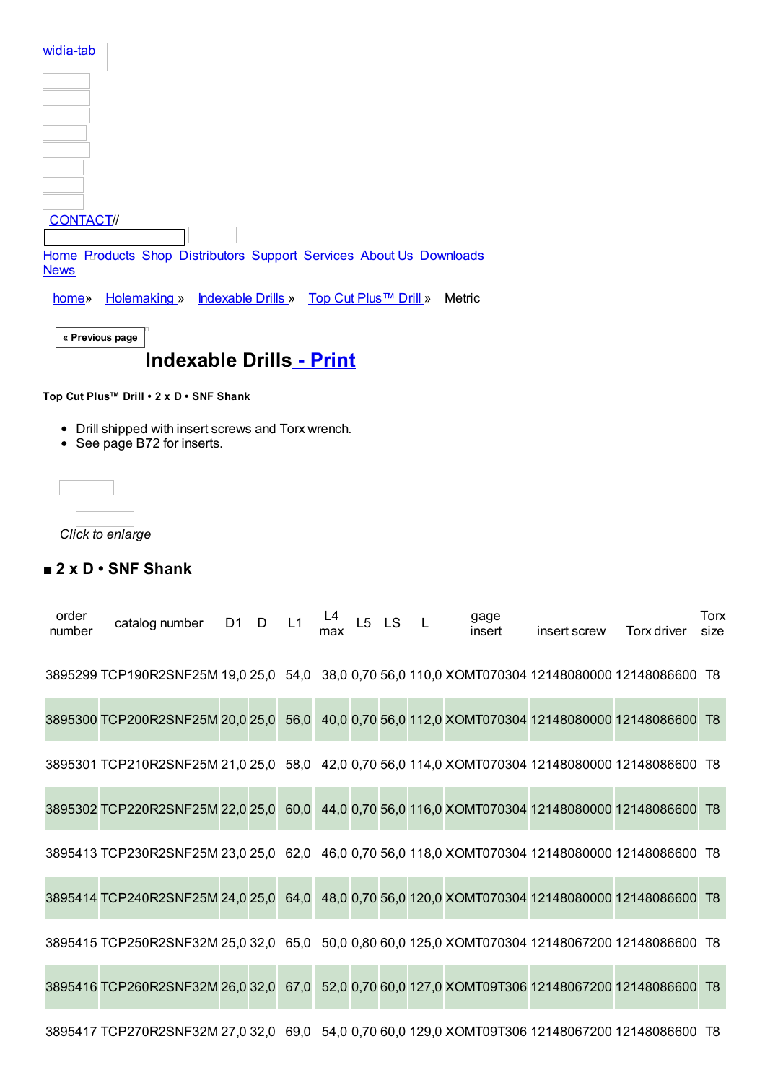| widia-tab                                                                          |
|------------------------------------------------------------------------------------|
|                                                                                    |
|                                                                                    |
|                                                                                    |
|                                                                                    |
|                                                                                    |
| <b>CONTACT//</b>                                                                   |
|                                                                                    |
| Home Products Shop Distributors Support Services About Us Downloads<br><b>News</b> |
| Indexable Drills » Top Cut Plus™ Drill »<br>Holemaking »<br>Metric<br>home»        |

# **[Inde](http://www.widia.com/widia/en/products_main.jhtml)[xable](https://widiacenter.widia.com/b2b_kmt/b2b/init.do?language=en) [Drills](http://www.widia.com/distributor_finder/dist_search.jhtml) - Print**

**Top [Cut](http://www.widia.com/widia/en/news/index.jhtml) Plus™ Drill • 2 x D • SNF Shank**

- [Drill](http://www.widia.com/e-catalog/products_main.jhtml?tab=1) shipped with insert [screws](http://www.widia.com/e-catalog/products.jhtml?id=24019771&logo=widia&navAction=pop&navCount=0) and Torx [wrench.](http://www.widia.com/e-catalog/products.jhtml?id=24064249&logo=widia&navAction=pop&navCount=0)
- See page B72 for inserts.

|  |  | Click to enlarge |  |
|--|--|------------------|--|

### **■ 2 x D • SNF Shank**

| order<br>number | catalog number D1 D L1                                                                           |  | L4<br>max | L5 LS L | gage<br>insert | insert screw Torx driver | Torx<br>size |
|-----------------|--------------------------------------------------------------------------------------------------|--|-----------|---------|----------------|--------------------------|--------------|
|                 | 3895299 TCP190R2SNF25M 19,0 25,0 54,0 38,0 0,70 56,0 110,0 XOMT070304 12148080000 12148086600 T8 |  |           |         |                |                          |              |
|                 | 3895300 TCP200R2SNF25M 20,0 25,0 56,0 40,0 0,70 56,0 112,0 XOMT070304 12148080000 12148086600 T8 |  |           |         |                |                          |              |
|                 | 3895301 TCP210R2SNF25M 21,0 25,0 58,0 42,0 0,70 56,0 114,0 XOMT070304 12148080000 12148086600 T8 |  |           |         |                |                          |              |
|                 | 3895302 TCP220R2SNF25M 22,0 25,0 60,0 44,0 0,70 56,0 116,0 XOMT070304 12148080000 12148086600 T8 |  |           |         |                |                          |              |
|                 | 3895413 TCP230R2SNF25M 23,0 25,0 62,0 46,0 0,70 56,0 118,0 XOMT070304 12148080000 12148086600 T8 |  |           |         |                |                          |              |
|                 | 3895414 TCP240R2SNF25M 24,0 25,0 64,0 48,0 0,70 56,0 120,0 XOMT070304 12148080000 12148086600 T8 |  |           |         |                |                          |              |
|                 | 3895415 TCP250R2SNF32M 25,0 32,0 65,0 50,0 0,80 60,0 125,0 XOMT070304 12148067200 12148086600 T8 |  |           |         |                |                          |              |
|                 | 3895416 TCP260R2SNF32M 26,0 32,0 67,0 52,0 0,70 60,0 127,0 XOMT09T306 12148067200 12148086600 T8 |  |           |         |                |                          |              |
|                 |                                                                                                  |  |           |         |                |                          |              |

3895417 TCP270R2SNF32M 27,0 32,0 69,0 54,0 0,70 60,0 129,0 XOMT09T306 12148067200 12148086600 T8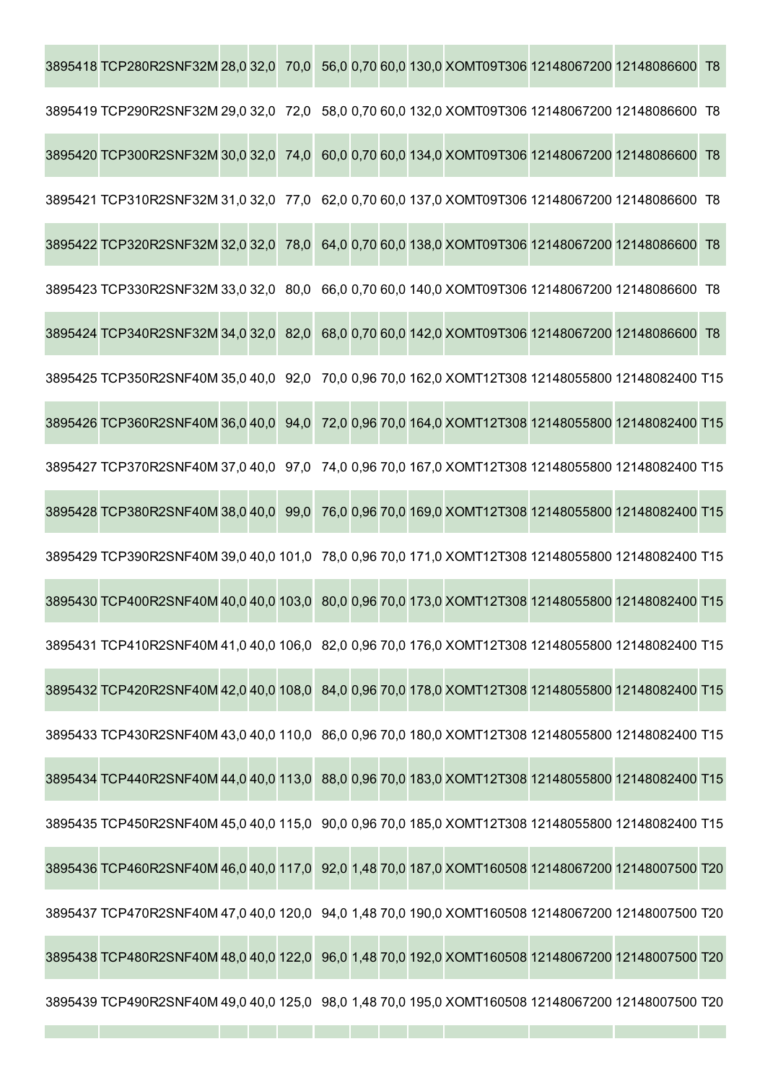| 3895418 TCP280R2SNF32M 28,0 32,0 70,0 56,0 0,70 60,0 130,0 XOMT09T306 12148067200 12148086600 T8   |  |  |  |  |  |  |
|----------------------------------------------------------------------------------------------------|--|--|--|--|--|--|
| 3895419 TCP290R2SNF32M 29,0 32,0 72,0 58,0 0,70 60,0 132,0 XOMT09T306 12148067200 12148086600 T8   |  |  |  |  |  |  |
| 3895420 TCP300R2SNF32M 30,0 32,0 74,0 60,0 0,70 60,0 134,0 XOMT09T306 12148067200 12148086600 T8   |  |  |  |  |  |  |
| 3895421 TCP310R2SNF32M 31,0 32,0 77,0 62,0 0,70 60,0 137,0 XOMT09T306 12148067200 12148086600 T8   |  |  |  |  |  |  |
| 3895422 TCP320R2SNF32M 32,0 32,0 78,0 64,0 0,70 60,0 138,0 XOMT09T306 12148067200 12148086600 T8   |  |  |  |  |  |  |
| 3895423 TCP330R2SNF32M 33,0 32,0 80,0 66,0 0,70 60,0 140,0 XOMT09T306 12148067200 12148086600 T8   |  |  |  |  |  |  |
| 3895424 TCP340R2SNF32M 34,0 32,0 82,0 68,0 0,70 60,0 142,0 XOMT09T306 12148067200 12148086600 T8   |  |  |  |  |  |  |
| 3895425 TCP350R2SNF40M 35,0 40,0 92,0 70,0 0,96 70,0 162,0 XOMT12T308 12148055800 12148082400 T15  |  |  |  |  |  |  |
| 3895426 TCP360R2SNF40M 36,0 40,0 94,0 72,0 0,96 70,0 164,0 XOMT12T308 12148055800 12148082400 T15  |  |  |  |  |  |  |
| 3895427 TCP370R2SNF40M 37,0 40,0 97,0 74,0 0,96 70,0 167,0 XOMT12T308 12148055800 12148082400 T15  |  |  |  |  |  |  |
| 3895428 TCP380R2SNF40M 38,0 40,0 99,0 76,0 0,96 70,0 169,0 XOMT12T308 12148055800 12148082400 T15  |  |  |  |  |  |  |
| 3895429 TCP390R2SNF40M 39,0 40,0 101,0 78,0 0,96 70,0 171,0 XOMT12T308 12148055800 12148082400 T15 |  |  |  |  |  |  |
| 3895430 TCP400R2SNF40M 40,0 40,0 103,0 80,0 0,96 70,0 173,0 XOMT12T308 12148055800 12148082400 T15 |  |  |  |  |  |  |
| 3895431 TCP410R2SNF40M 41,0 40,0 106,0 82,0 0,96 70,0 176,0 XOMT12T308 12148055800 12148082400 T15 |  |  |  |  |  |  |
| 3895432 TCP420R2SNF40M 42,0 40,0 108,0 84,0 0,96 70,0 178,0 XOMT12T308 12148055800 12148082400 T15 |  |  |  |  |  |  |
| 3895433 TCP430R2SNF40M 43,0 40,0 110,0 86,0 0,96 70,0 180,0 XOMT12T308 12148055800 12148082400 T15 |  |  |  |  |  |  |
| 3895434 TCP440R2SNF40M 44,0 40,0 113,0 88,0 0,96 70,0 183,0 XOMT12T308 12148055800 12148082400 T15 |  |  |  |  |  |  |
| 3895435 TCP450R2SNF40M 45,0 40,0 115,0 90,0 0,96 70,0 185,0 XOMT12T308 12148055800 12148082400 T15 |  |  |  |  |  |  |
| 3895436 TCP460R2SNF40M 46,0 40,0 117,0 92,0 1,48 70,0 187,0 XOMT160508 12148067200 12148007500 T20 |  |  |  |  |  |  |
| 3895437 TCP470R2SNF40M 47,0 40,0 120,0 94,0 1,48 70,0 190,0 XOMT160508 12148067200 12148007500 T20 |  |  |  |  |  |  |
| 3895438 TCP480R2SNF40M 48,0 40,0 122,0 96,0 1,48 70,0 192,0 XOMT160508 12148067200 12148007500 T20 |  |  |  |  |  |  |
| 3895439 TCP490R2SNF40M 49,0 40,0 125,0 98,0 1,48 70,0 195,0 XOMT160508 12148067200 12148007500 T20 |  |  |  |  |  |  |
|                                                                                                    |  |  |  |  |  |  |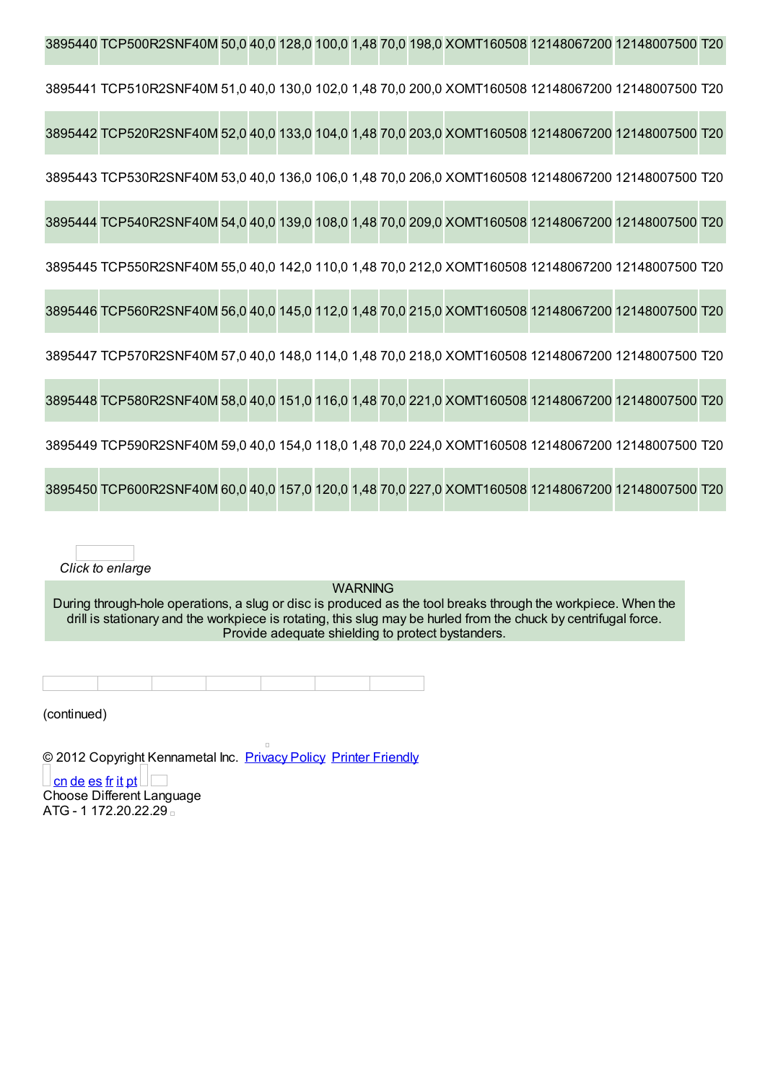| 3895440 TCP500R2SNF40M 50,0 40,0 128,0 100,0 1,48 70,0 198,0 XOMT160508 12148067200 12148007500 T20 |  |  |  |  |  |  |
|-----------------------------------------------------------------------------------------------------|--|--|--|--|--|--|
| 3895441 TCP510R2SNF40M 51,0 40,0 130,0 102,0 1,48 70,0 200,0 XOMT160508 12148067200 12148007500 T20 |  |  |  |  |  |  |
| 3895442 TCP520R2SNF40M 52,0 40,0 133,0 104,0 1,48 70,0 203,0 XOMT160508 12148067200 12148007500 T20 |  |  |  |  |  |  |
| 3895443 TCP530R2SNF40M 53,0 40,0 136,0 106,0 1,48 70,0 206,0 XOMT160508 12148067200 12148007500 T20 |  |  |  |  |  |  |
| 3895444 TCP540R2SNF40M 54,0 40,0 139,0 108,0 1,48 70,0 209,0 XOMT160508 12148067200 12148007500 T20 |  |  |  |  |  |  |
| 3895445 TCP550R2SNF40M 55,0 40,0 142,0 110,0 1,48 70,0 212,0 XOMT160508 12148067200 12148007500 T20 |  |  |  |  |  |  |
| 3895446 TCP560R2SNF40M 56,0 40,0 145,0 112,0 1,48 70,0 215,0 XOMT160508 12148067200 12148007500 T20 |  |  |  |  |  |  |
| 3895447 TCP570R2SNF40M 57,0 40,0 148,0 114,0 1,48 70,0 218,0 XOMT160508 12148067200 12148007500 T20 |  |  |  |  |  |  |
| 3895448 TCP580R2SNF40M 58,0 40,0 151,0 116,0 1,48 70,0 221,0 XOMT160508 12148067200 12148007500 T20 |  |  |  |  |  |  |
| 3895449 TCP590R2SNF40M 59,0 40,0 154,0 118,0 1,48 70,0 224,0 XOMT160508 12148067200 12148007500 T20 |  |  |  |  |  |  |
| 3895450 TCP600R2SNF40M 60,0 40,0 157,0 120,0 1,48 70,0 227,0 XOMT160508 12148067200 12148007500 T20 |  |  |  |  |  |  |

WARNING

During through-hole operations, a slug or disc is produced as the tool breaks through the workpiece. When the drill is stationary and the workpiece is rotating, this slug may be hurled from the chuck by centrifugal force. Provide adequate shielding to protect bystanders.

(continued)

© 2012 Copyright Kennametal Inc. Privacy Policy Printer Friendly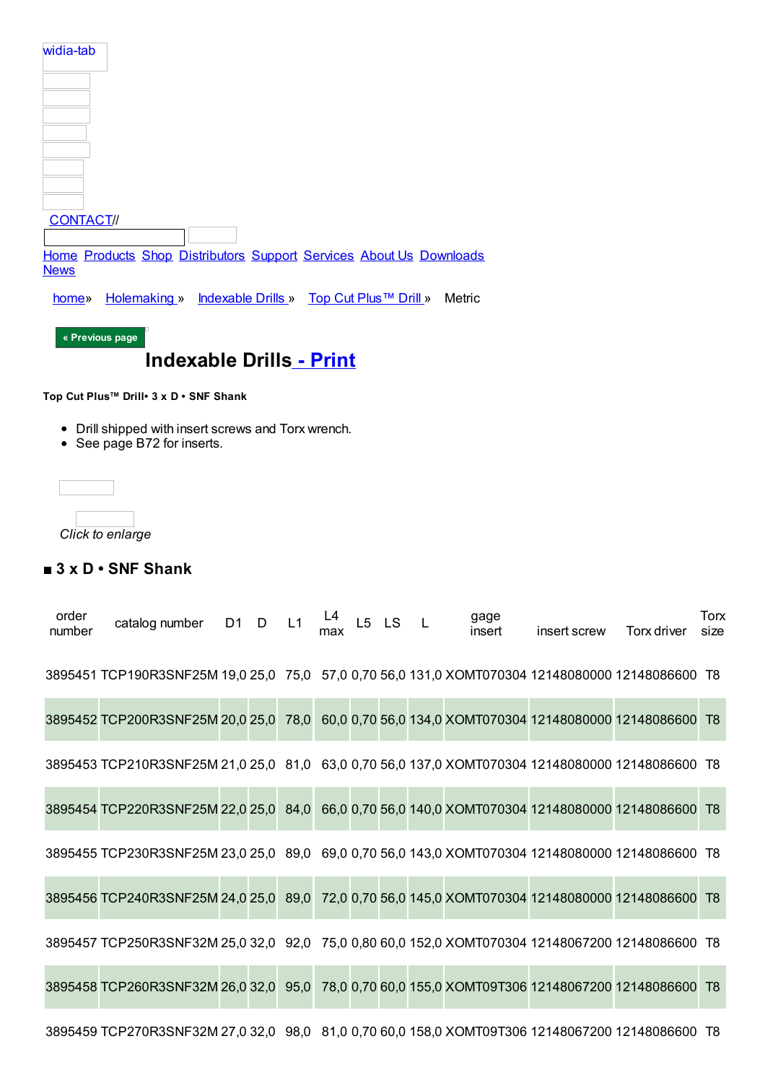| widia-tab        |  |                                                                     |        |
|------------------|--|---------------------------------------------------------------------|--------|
|                  |  |                                                                     |        |
| <b>CONTACT//</b> |  |                                                                     |        |
| <b>News</b>      |  | Home Products Shop Distributors Support Services About Us Downloads |        |
| home»            |  | Holemaking » Indexable Drills » Top Cut Plus™ Drill »               | Metric |

# **[Inde](http://www.widia.com/widia/en/products_main.jhtml)[xable](https://widiacenter.widia.com/b2b_kmt/b2b/init.do?language=en) [Drills](http://www.widia.com/distributor_finder/dist_search.jhtml) - Print**

**Top [Cut](http://www.widia.com/widia/en/news/index.jhtml) Plus™ Drill• 3 x D • SNF Shank**

- [Drill](http://www.widia.com/e-catalog/products_main.jhtml?tab=1) shipped with insert [screws](http://www.widia.com/e-catalog/products.jhtml?id=24019771&logo=widia&navAction=pop&navCount=0) and Torx [wrench.](http://www.widia.com/e-catalog/products.jhtml?id=24064249&logo=widia&navAction=pop&navCount=0)
- See page B72 for inserts.



### **■ 3 x D • SNF Shank**

| order<br>number | catalog number D1 D L1                                                                           |  | L4<br>max | L5 LS L | gage<br>insert | insert screw | Torx driver | Torx<br>size |
|-----------------|--------------------------------------------------------------------------------------------------|--|-----------|---------|----------------|--------------|-------------|--------------|
|                 | 3895451 TCP190R3SNF25M 19,0 25,0 75,0 57,0 0,70 56,0 131,0 XOMT070304 12148080000 12148086600 T8 |  |           |         |                |              |             |              |
|                 | 3895452 TCP200R3SNF25M 20,0 25,0 78,0 60,0 0,70 56,0 134,0 XOMT070304 12148080000 12148086600 T8 |  |           |         |                |              |             |              |
|                 | 3895453 TCP210R3SNF25M 21,0 25,0 81,0 63,0 0,70 56,0 137,0 XOMT070304 12148080000 12148086600 T8 |  |           |         |                |              |             |              |
|                 | 3895454 TCP220R3SNF25M 22,0 25,0 84,0 66,0 0,70 56,0 140,0 XOMT070304 12148080000 12148086600 T8 |  |           |         |                |              |             |              |
|                 | 3895455 TCP230R3SNF25M 23,0 25,0 89,0 69,0 0,70 56,0 143,0 XOMT070304 12148080000 12148086600 T8 |  |           |         |                |              |             |              |
|                 | 3895456 TCP240R3SNF25M 24,0 25,0 89,0 72,0 0,70 56,0 145,0 XOMT070304 12148080000 12148086600 T8 |  |           |         |                |              |             |              |
|                 | 3895457 TCP250R3SNF32M 25,0 32,0 92,0 75,0 0,80 60,0 152,0 XOMT070304 12148067200 12148086600 T8 |  |           |         |                |              |             |              |
|                 | 3895458 TCP260R3SNF32M 26,0 32,0 95,0 78,0 0,70 60,0 155,0 XOMT09T306 12148067200 12148086600 T8 |  |           |         |                |              |             |              |
|                 |                                                                                                  |  |           |         |                |              |             |              |

3895459 TCP270R3SNF32M 27,0 32,0 98,0 81,0 0,70 60,0 158,0 XOMT09T306 12148067200 12148086600 T8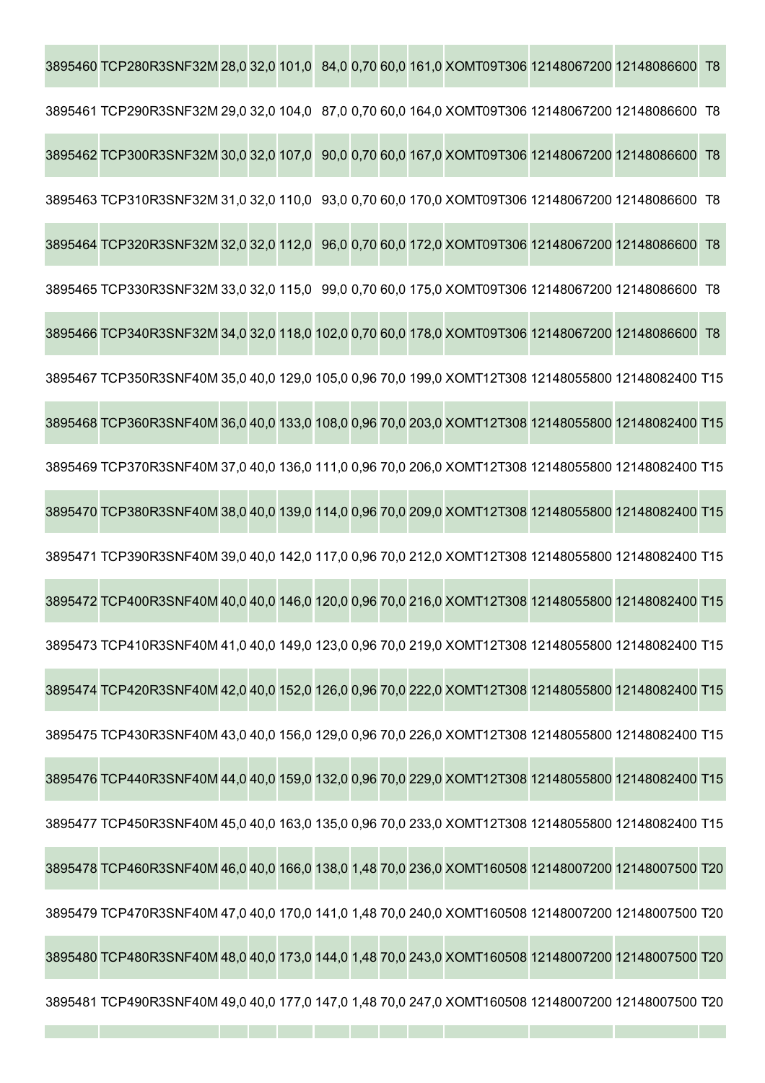| 3895460 TCP280R3SNF32M 28,0 32,0 101,0 84,0 0,70 60,0 161,0 XOMT09T306 12148067200 12148086600 T8   |  |  |  |  |  |  |
|-----------------------------------------------------------------------------------------------------|--|--|--|--|--|--|
| 3895461 TCP290R3SNF32M 29,0 32,0 104,0 87,0 0,70 60,0 164,0 XOMT09T306 12148067200 12148086600 T8   |  |  |  |  |  |  |
| 3895462 TCP300R3SNF32M 30,0 32,0 107,0 90,0 0,70 60,0 167,0 XOMT09T306 12148067200 12148086600 T8   |  |  |  |  |  |  |
| 3895463 TCP310R3SNF32M 31,0 32,0 110,0 93,0 0,70 60,0 170,0 XOMT09T306 12148067200 12148086600 T8   |  |  |  |  |  |  |
| 3895464 TCP320R3SNF32M 32,0 32,0 112,0 96,0 0,70 60,0 172,0 XOMT09T306 12148067200 12148086600 T8   |  |  |  |  |  |  |
| 3895465 TCP330R3SNF32M 33,0 32,0 115,0 99,0 0,70 60,0 175,0 XOMT09T306 12148067200 12148086600 T8   |  |  |  |  |  |  |
| 3895466 TCP340R3SNF32M 34,0 32,0 118,0 102,0 0,70 60,0 178,0 XOMT09T306 12148067200 12148086600 T8  |  |  |  |  |  |  |
| 3895467 TCP350R3SNF40M 35,0 40,0 129,0 105,0 0,96 70,0 199,0 XOMT12T308 12148055800 12148082400 T15 |  |  |  |  |  |  |
| 3895468 TCP360R3SNF40M 36,0 40,0 133,0 108,0 0,96 70,0 203,0 XOMT12T308 12148055800 12148082400 T15 |  |  |  |  |  |  |
| 3895469 TCP370R3SNF40M 37,0 40,0 136,0 111,0 0,96 70,0 206,0 XOMT12T308 12148055800 12148082400 T15 |  |  |  |  |  |  |
| 3895470 TCP380R3SNF40M 38,0 40,0 139,0 114,0 0,96 70,0 209,0 XOMT12T308 12148055800 12148082400 T15 |  |  |  |  |  |  |
| 3895471 TCP390R3SNF40M 39,0 40,0 142,0 117,0 0,96 70,0 212,0 XOMT12T308 12148055800 12148082400 T15 |  |  |  |  |  |  |
| 3895472 TCP400R3SNF40M 40,0 40,0 146,0 120,0 0,96 70,0 216,0 XOMT12T308 12148055800 12148082400 T15 |  |  |  |  |  |  |
| 3895473 TCP410R3SNF40M 41,0 40,0 149,0 123,0 0,96 70,0 219,0 XOMT12T308 12148055800 12148082400 T15 |  |  |  |  |  |  |
| 3895474 TCP420R3SNF40M 42,0 40,0 152,0 126,0 0,96 70,0 222,0 XOMT12T308 12148055800 12148082400 T15 |  |  |  |  |  |  |
| 3895475 TCP430R3SNF40M 43,0 40,0 156,0 129,0 0,96 70,0 226,0 XOMT12T308 12148055800 12148082400 T15 |  |  |  |  |  |  |
| 3895476 TCP440R3SNF40M 44,0 40,0 159,0 132,0 0,96 70,0 229,0 XOMT12T308 12148055800 12148082400 T15 |  |  |  |  |  |  |
| 3895477 TCP450R3SNF40M 45,0 40,0 163,0 135,0 0,96 70,0 233,0 XOMT12T308 12148055800 12148082400 T15 |  |  |  |  |  |  |
| 3895478 TCP460R3SNF40M 46,0 40,0 166,0 138,0 1,48 70,0 236,0 XOMT160508 12148007200 12148007500 T20 |  |  |  |  |  |  |
| 3895479 TCP470R3SNF40M 47,0 40,0 170,0 141,0 1,48 70,0 240,0 XOMT160508 12148007200 12148007500 T20 |  |  |  |  |  |  |
| 3895480 TCP480R3SNF40M 48,0 40,0 173,0 144,0 1,48 70,0 243,0 XOMT160508 12148007200 12148007500 T20 |  |  |  |  |  |  |
| 3895481 TCP490R3SNF40M 49,0 40,0 177,0 147,0 1,48 70,0 247,0 XOMT160508 12148007200 12148007500 T20 |  |  |  |  |  |  |
|                                                                                                     |  |  |  |  |  |  |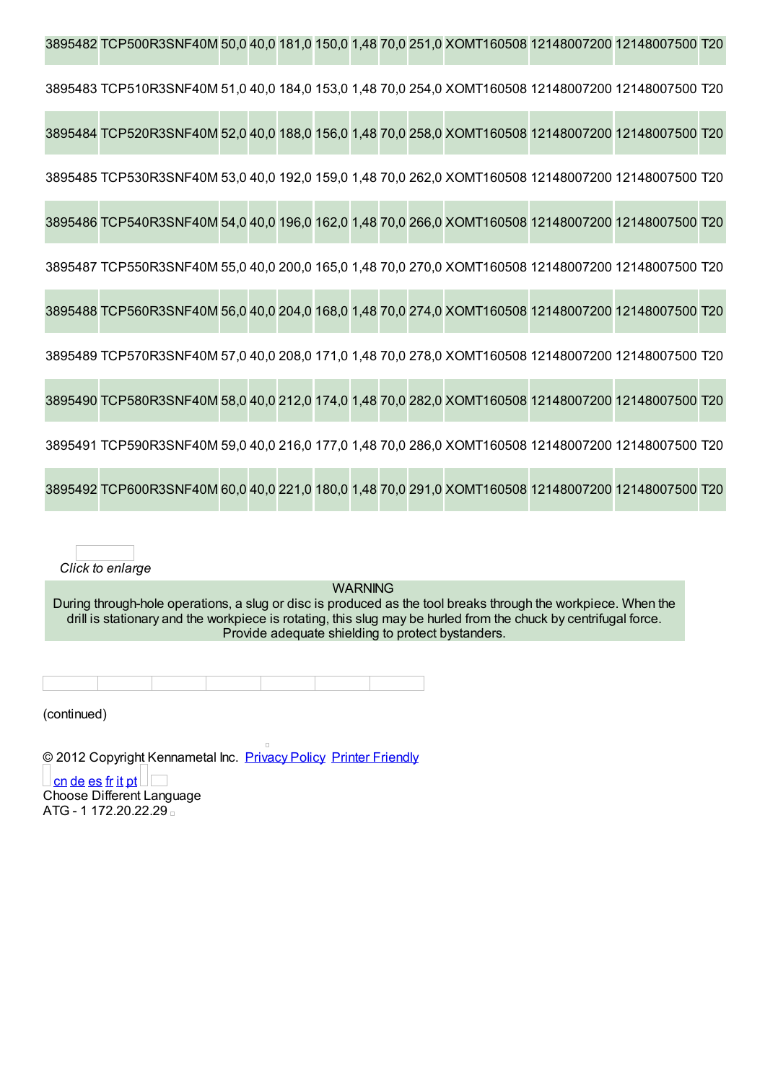| 3895482 TCP500R3SNF40M 50,0 40,0 181,0 150,0 1,48 70,0 251,0 XOMT160508 12148007200 12148007500 T20 |  |  |  |  |  |  |
|-----------------------------------------------------------------------------------------------------|--|--|--|--|--|--|
| 3895483 TCP510R3SNF40M 51,0 40,0 184,0 153,0 1,48 70,0 254,0 XOMT160508 12148007200 12148007500 T20 |  |  |  |  |  |  |
| 3895484 TCP520R3SNF40M 52,0 40,0 188,0 156,0 1,48 70,0 258,0 XOMT160508 12148007200 12148007500 T20 |  |  |  |  |  |  |
| 3895485 TCP530R3SNF40M 53,0 40,0 192,0 159,0 1,48 70,0 262,0 XOMT160508 12148007200 12148007500 T20 |  |  |  |  |  |  |
| 3895486 TCP540R3SNF40M 54,0 40,0 196,0 162,0 1,48 70,0 266,0 XOMT160508 12148007200 12148007500 T20 |  |  |  |  |  |  |
| 3895487 TCP550R3SNF40M 55,0 40,0 200,0 165,0 1,48 70,0 270,0 XOMT160508 12148007200 12148007500 T20 |  |  |  |  |  |  |
| 3895488 TCP560R3SNF40M 56,0 40,0 204,0 168,0 1,48 70,0 274,0 XOMT160508 12148007200 12148007500 T20 |  |  |  |  |  |  |
| 3895489 TCP570R3SNF40M 57,0 40,0 208,0 171,0 1,48 70,0 278,0 XOMT160508 12148007200 12148007500 T20 |  |  |  |  |  |  |
| 3895490 TCP580R3SNF40M 58,0 40,0 212,0 174,0 1,48 70,0 282,0 XOMT160508 12148007200 12148007500 T20 |  |  |  |  |  |  |
| 3895491 TCP590R3SNF40M 59,0 40,0 216,0 177,0 1,48 70,0 286,0 XOMT160508 12148007200 12148007500 T20 |  |  |  |  |  |  |
| 3895492 TCP600R3SNF40M 60,0 40,0 221,0 180,0 1,48 70,0 291,0 XOMT160508 12148007200 12148007500 T20 |  |  |  |  |  |  |

WARNING

During through-hole operations, a slug or disc is produced as the tool breaks through the workpiece. When the drill is stationary and the workpiece is rotating, this slug may be hurled from the chuck by centrifugal force. Provide adequate shielding to protect bystanders.

(continued)

© 2012 Copyright Kennametal Inc. Privacy Policy Printer Friendly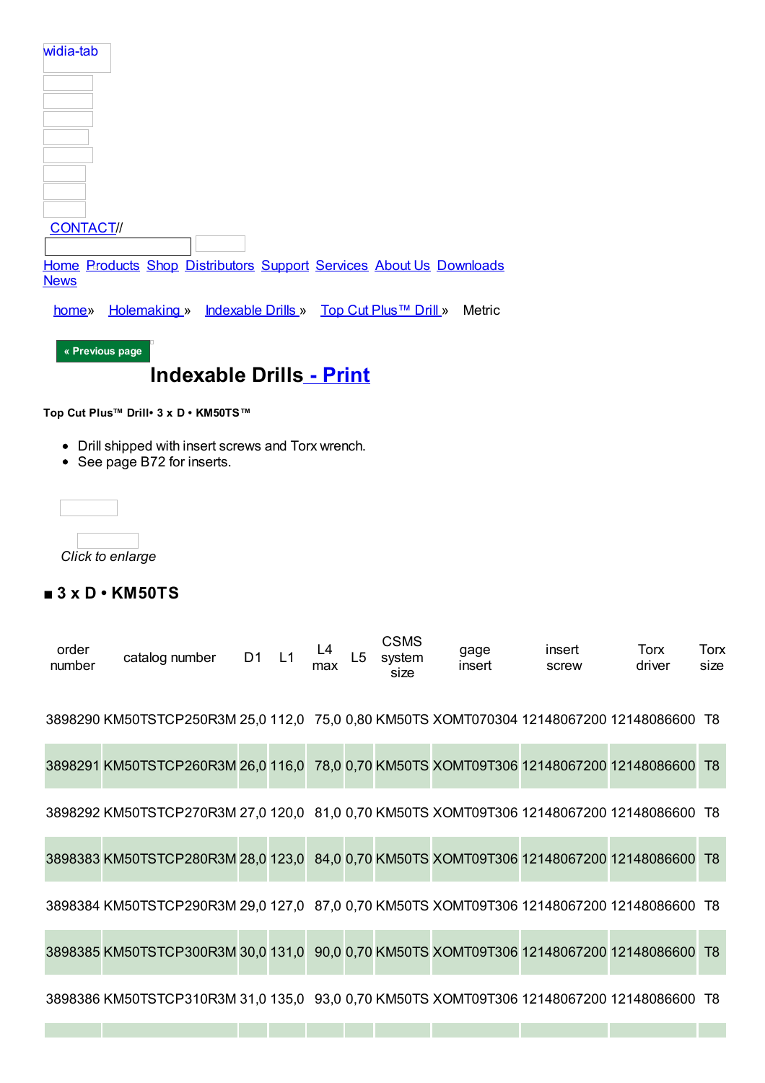| widia-tab        |  |                                                                     |        |
|------------------|--|---------------------------------------------------------------------|--------|
|                  |  |                                                                     |        |
|                  |  |                                                                     |        |
| <b>CONTACT//</b> |  |                                                                     |        |
| <b>News</b>      |  | Home Products Shop Distributors Support Services About Us Downloads |        |
| home»            |  | Holemaking » Indexable Drills » Top Cut Plus™ Drill »               | Metric |

# **[Inde](http://www.widia.com/widia/en/products_main.jhtml)[xable](https://widiacenter.widia.com/b2b_kmt/b2b/init.do?language=en) [Drills](http://www.widia.com/distributor_finder/dist_search.jhtml) - Pri[nt](http://www.widia.com/widia/en/support.jhtml)**

#### **Top Cut [Plus](http://www.widia.com/e-catalog/products_main.jhtml?tab=1)™ Drill• 3 x D • [KM50TS™](http://www.widia.com/e-catalog/products.jhtml?id=24019771&logo=widia&navAction=pop&navCount=0)**

- Drill shipped with insert screws and Torx wrench.
- See page B72 for inserts.

*Click to enlarge*

### **■ 3 x D • KM50TS**

| order<br>number | catalog number D1 L1                                                                      |  | L4<br>max | L5 | <b>CSMS</b><br>system<br>size | gage<br>insert | insert<br>screw | Torx<br>driver | Torx<br>size |
|-----------------|-------------------------------------------------------------------------------------------|--|-----------|----|-------------------------------|----------------|-----------------|----------------|--------------|
|                 | 3898290 KM50TSTCP250R3M 25,0 112,0 75,0 0,80 KM50TS XOMT070304 12148067200 12148086600 T8 |  |           |    |                               |                |                 |                |              |
|                 | 3898291 KM50TSTCP260R3M 26,0 116,0 78,0 0,70 KM50TS XOMT09T306 12148067200 12148086600 T8 |  |           |    |                               |                |                 |                |              |
|                 | 3898292 KM50TSTCP270R3M 27,0 120,0 81,0 0,70 KM50TS XOMT09T306 12148067200 12148086600 T8 |  |           |    |                               |                |                 |                |              |
|                 | 3898383 KM50TSTCP280R3M 28,0 123,0 84,0 0,70 KM50TS XOMT09T306 12148067200 12148086600 T8 |  |           |    |                               |                |                 |                |              |
|                 | 3898384 KM50TSTCP290R3M 29,0 127,0 87,0 0,70 KM50TS XOMT09T306 12148067200 12148086600 T8 |  |           |    |                               |                |                 |                |              |
|                 | 3898385 KM50TSTCP300R3M 30,0 131,0 90,0 0,70 KM50TS XOMT09T306 12148067200 12148086600 T8 |  |           |    |                               |                |                 |                |              |
|                 | 3898386 KM50TSTCP310R3M 31,0 135,0 93,0 0,70 KM50TS XOMT09T306 12148067200 12148086600 T8 |  |           |    |                               |                |                 |                |              |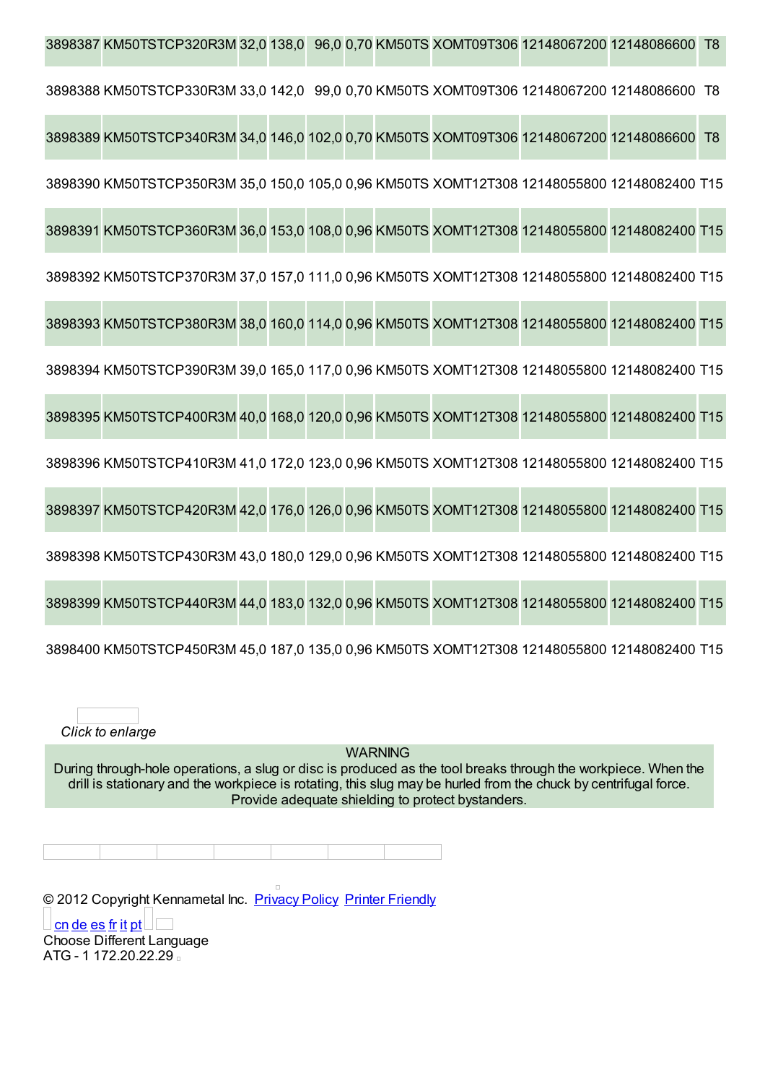|  |  |  |  | 3898387 KM50TSTCP320R3M 32,0 138,0 96,0 0,70 KM50TS XOMT09T306 12148067200 12148086600 T8   |  |
|--|--|--|--|---------------------------------------------------------------------------------------------|--|
|  |  |  |  | 3898388 KM50TSTCP330R3M 33,0 142,0 99,0 0,70 KM50TS XOMT09T306 12148067200 12148086600 T8   |  |
|  |  |  |  | 3898389 KM50TSTCP340R3M 34,0 146,0 102,0 0,70 KM50TS XOMT09T306 12148067200 12148086600 T8  |  |
|  |  |  |  | 3898390 KM50TSTCP350R3M 35,0 150,0 105,0 0,96 KM50TS XOMT12T308 12148055800 12148082400 T15 |  |
|  |  |  |  | 3898391 KM50TSTCP360R3M 36,0 153,0 108,0 0,96 KM50TS XOMT12T308 12148055800 12148082400 T15 |  |
|  |  |  |  | 3898392 KM50TSTCP370R3M 37,0 157,0 111,0 0,96 KM50TS XOMT12T308 12148055800 12148082400 T15 |  |
|  |  |  |  | 3898393 KM50TSTCP380R3M 38,0 160,0 114,0 0,96 KM50TS XOMT12T308 12148055800 12148082400 T15 |  |
|  |  |  |  | 3898394 KM50TSTCP390R3M 39,0 165,0 117,0 0,96 KM50TS XOMT12T308 12148055800 12148082400 T15 |  |
|  |  |  |  | 3898395 KM50TSTCP400R3M 40,0 168,0 120,0 0,96 KM50TS XOMT12T308 12148055800 12148082400 T15 |  |
|  |  |  |  | 3898396 KM50TSTCP410R3M 41,0 172,0 123,0 0,96 KM50TS XOMT12T308 12148055800 12148082400 T15 |  |
|  |  |  |  | 3898397 KM50TSTCP420R3M 42,0 176,0 126,0 0,96 KM50TS XOMT12T308 12148055800 12148082400 T15 |  |
|  |  |  |  | 3898398 KM50TSTCP430R3M 43,0 180,0 129,0 0,96 KM50TS XOMT12T308 12148055800 12148082400 T15 |  |
|  |  |  |  | 3898399 KM50TSTCP440R3M 44,0 183,0 132,0 0,96 KM50TS XOMT12T308 12148055800 12148082400 T15 |  |
|  |  |  |  | 3898400 KM50TSTCP450R3M 45,0 187,0 135,0 0,96 KM50TS XOMT12T308 12148055800 12148082400 T15 |  |

WARNING

During through-hole operations, a slug or disc is produced as the tool breaks through the workpiece. When the drill is stationary and the workpiece is rotating, this slug may be hurled from the chuck by centrifugal force. Provide adequate shielding to protect bystanders.

© 2012 Copyright Kennametal Inc. Privacy Policy Printer Friendly

 $\Box$ 

 $\Box$  cn de es fr it pt  $\Box$ Choose Different Language ATG - 1 172.20.22.29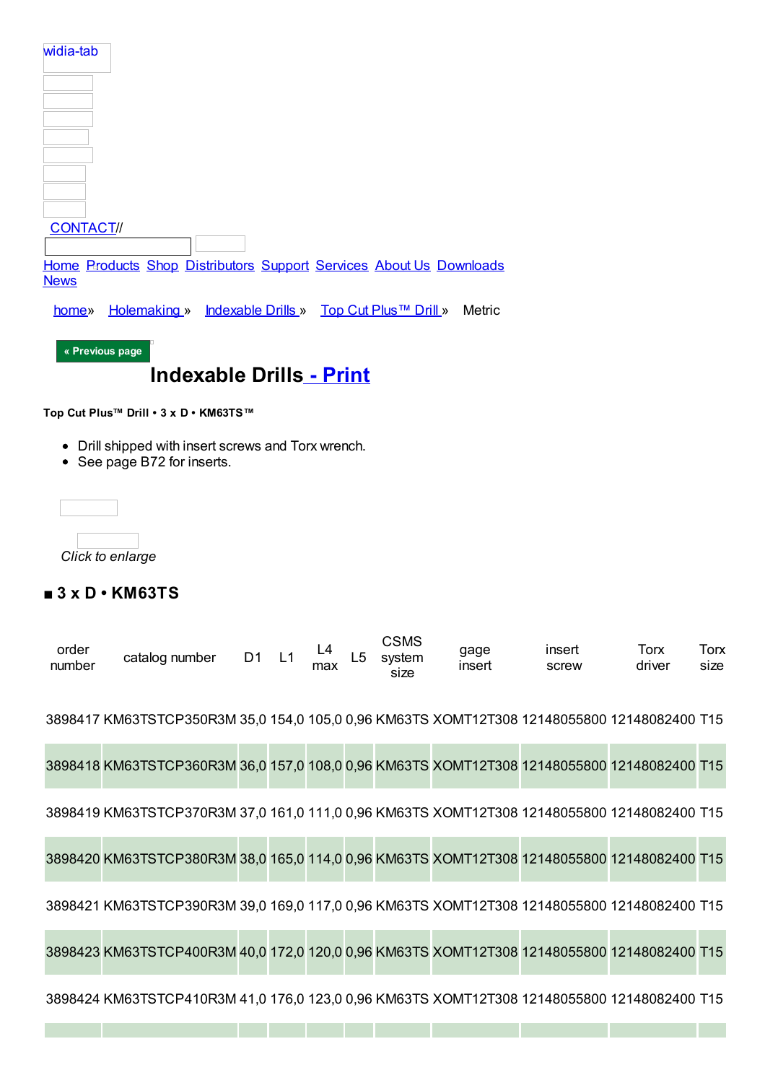| widia-tab        |  |                                                                     |        |
|------------------|--|---------------------------------------------------------------------|--------|
|                  |  |                                                                     |        |
|                  |  |                                                                     |        |
| <b>CONTACT//</b> |  |                                                                     |        |
| <b>News</b>      |  | Home Products Shop Distributors Support Services About Us Downloads |        |
| home»            |  | Holemaking » Indexable Drills » Top Cut Plus™ Drill »               | Metric |

# **[Inde](http://www.widia.com/widia/en/products_main.jhtml)[xable](https://widiacenter.widia.com/b2b_kmt/b2b/init.do?language=en) [Drills](http://www.widia.com/distributor_finder/dist_search.jhtml) - Pri[nt](http://www.widia.com/widia/en/support.jhtml)**

**Top Cut [Plus](http://www.widia.com/e-catalog/products_main.jhtml?tab=1)™ Drill • 3 x D • [KM63TS™](http://www.widia.com/e-catalog/products.jhtml?id=24019771&logo=widia&navAction=pop&navCount=0)**

- Drill shipped with insert screws and Torx wrench.
- See page B72 for inserts.

*Click to enlarge*

### **■ 3 x D • KM63TS**

| order<br>number | catalog number                                                                              | D1 L1 | L4<br>max | L <sub>5</sub> | <b>CSMS</b><br>system<br>size | gage<br>insert | insert<br>screw | Torx<br>driver | Torx<br>size |
|-----------------|---------------------------------------------------------------------------------------------|-------|-----------|----------------|-------------------------------|----------------|-----------------|----------------|--------------|
|                 | 3898417 KM63TSTCP350R3M 35,0 154,0 105,0 0,96 KM63TS XOMT12T308 12148055800 12148082400 T15 |       |           |                |                               |                |                 |                |              |
|                 | 3898418 KM63TSTCP360R3M 36,0 157,0 108,0 0,96 KM63TS XOMT12T308 12148055800 12148082400 T15 |       |           |                |                               |                |                 |                |              |
|                 | 3898419 KM63TSTCP370R3M 37,0 161,0 111,0 0,96 KM63TS XOMT12T308 12148055800 12148082400 T15 |       |           |                |                               |                |                 |                |              |
|                 | 3898420 KM63TSTCP380R3M 38,0 165,0 114,0 0,96 KM63TS XOMT12T308 12148055800 12148082400 T15 |       |           |                |                               |                |                 |                |              |
|                 | 3898421 KM63TSTCP390R3M 39,0 169,0 117,0 0,96 KM63TS XOMT12T308 12148055800 12148082400 T15 |       |           |                |                               |                |                 |                |              |
|                 | 3898423 KM63TSTCP400R3M 40,0 172,0 120,0 0,96 KM63TS XOMT12T308 12148055800 12148082400 T15 |       |           |                |                               |                |                 |                |              |
|                 | 3898424 KM63TSTCP410R3M 41,0 176,0 123,0 0,96 KM63TS XOMT12T308 12148055800 12148082400 T15 |       |           |                |                               |                |                 |                |              |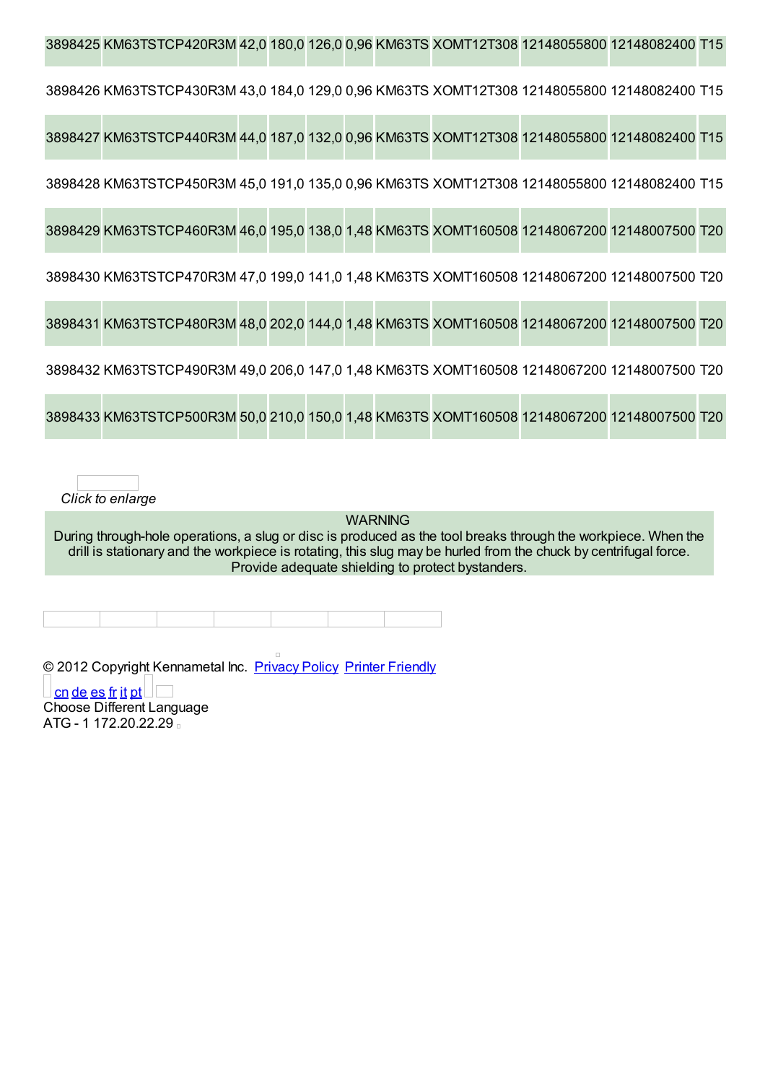|  |  |  |  | 3898425 KM63TSTCP420R3M 42,0 180,0 126,0 0,96 KM63TS XOMT12T308 12148055800 12148082400 T15 |  |  |
|--|--|--|--|---------------------------------------------------------------------------------------------|--|--|
|  |  |  |  | 3898426 KM63TSTCP430R3M 43,0 184,0 129,0 0,96 KM63TS XOMT12T308 12148055800 12148082400 T15 |  |  |
|  |  |  |  | 3898427 KM63TSTCP440R3M 44,0 187,0 132,0 0,96 KM63TS XOMT12T308 12148055800 12148082400 T15 |  |  |
|  |  |  |  | 3898428 KM63TSTCP450R3M 45,0 191,0 135,0 0,96 KM63TS XOMT12T308 12148055800 12148082400 T15 |  |  |
|  |  |  |  | 3898429 KM63TSTCP460R3M 46,0 195,0 138,0 1,48 KM63TS XOMT160508 12148067200 12148007500 T20 |  |  |
|  |  |  |  | 3898430 KM63TSTCP470R3M 47,0 199,0 141,0 1,48 KM63TS XOMT160508 12148067200 12148007500 T20 |  |  |
|  |  |  |  | 3898431 KM63TSTCP480R3M 48,0 202,0 144,0 1,48 KM63TS XOMT160508 12148067200 12148007500 T20 |  |  |
|  |  |  |  | 3898432 KM63TSTCP490R3M 49,0 206,0 147,0 1,48 KM63TS XOMT160508 12148067200 12148007500 T20 |  |  |
|  |  |  |  | 3898433 KM63TSTCP500R3M 50,0 210,0 150,0 1,48 KM63TS XOMT160508 12148067200 12148007500 T20 |  |  |
|  |  |  |  |                                                                                             |  |  |

WARNING

During through-hole operations, a slug or disc is produced as the tool breaks through the workpiece. When the drill is stationary and the workpiece is rotating, this slug may be hurled from the chuck by centrifugal force. Provide adequate shielding to protect bystanders.

 $\Box$ © 2012 Copyright Kennametal Inc. Privacy Policy Printer Friendly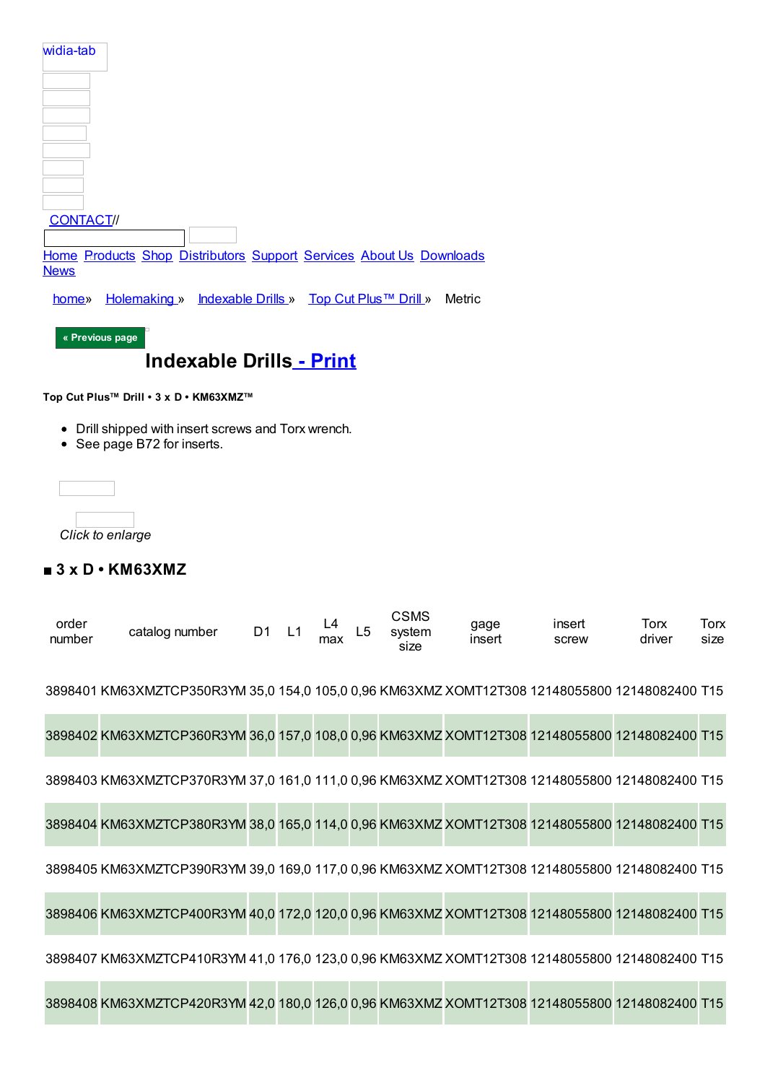| widia-tab                                                                          |                                                       |        |
|------------------------------------------------------------------------------------|-------------------------------------------------------|--------|
|                                                                                    |                                                       |        |
|                                                                                    |                                                       |        |
|                                                                                    |                                                       |        |
|                                                                                    |                                                       |        |
|                                                                                    |                                                       |        |
|                                                                                    |                                                       |        |
| <b>CONTACT//</b>                                                                   |                                                       |        |
| Home Products Shop Distributors Support Services About Us Downloads<br><b>News</b> |                                                       |        |
| home»                                                                              | Holemaking » Indexable Drills » Top Cut Plus™ Drill » | Metric |
| « Previous page                                                                    |                                                       |        |

# **[Inde](http://www.widia.com/widia/en/products_main.jhtml)[xable](https://widiacenter.widia.com/b2b_kmt/b2b/init.do?language=en) [Drills](http://www.widia.com/distributor_finder/dist_search.jhtml) - Print**

**Top [Cut](http://www.widia.com/widia/en/news/index.jhtml) Plus™ Drill • 3 x D • KM63XMZ™**

- [Drill](http://www.widia.com/e-catalog/products_main.jhtml?tab=1) shipped with insert [screws](http://www.widia.com/e-catalog/products.jhtml?id=24019771&logo=widia&navAction=pop&navCount=0) and Torx [wrench.](http://www.widia.com/e-catalog/products.jhtml?id=24064249&logo=widia&navAction=pop&navCount=0)
- See page B72 for inserts.

| Click to enlarge |  |
|------------------|--|

### **■ 3 x D • KM63XMZ**

| order<br>number |                                                                                                | catalog number | D1 L1 | $L4$ $L5$<br>max | <b>CSMS</b><br>system<br>size | gage<br>insert | insert<br>screw | Torx<br>driver | Torx<br>size |
|-----------------|------------------------------------------------------------------------------------------------|----------------|-------|------------------|-------------------------------|----------------|-----------------|----------------|--------------|
|                 | 3898401 KM63XMZTCP350R3YM 35,0 154,0 105,0 0,96 KM63XMZ XOMT12T308 12148055800 12148082400 T15 |                |       |                  |                               |                |                 |                |              |
|                 | 3898402 KM63XMZTCP360R3YM 36,0 157,0 108,0 0,96 KM63XMZ XOMT12T308 12148055800 12148082400 T15 |                |       |                  |                               |                |                 |                |              |
|                 | 3898403 KM63XMZTCP370R3YM 37,0 161,0 111,0 0,96 KM63XMZ XOMT12T308 12148055800 12148082400 T15 |                |       |                  |                               |                |                 |                |              |
|                 | 3898404 KM63XMZTCP380R3YM 38,0 165,0 114,0 0,96 KM63XMZ XOMT12T308 12148055800 12148082400 T15 |                |       |                  |                               |                |                 |                |              |
|                 | 3898405 KM63XMZTCP390R3YM 39,0 169,0 117,0 0,96 KM63XMZ XOMT12T308 12148055800 12148082400 T15 |                |       |                  |                               |                |                 |                |              |
|                 | 3898406 KM63XMZTCP400R3YM 40,0 172,0 120,0 0,96 KM63XMZ XOMT12T308 12148055800 12148082400 T15 |                |       |                  |                               |                |                 |                |              |
|                 | 3898407 KM63XMZTCP410R3YM 41,0 176,0 123,0 0,96 KM63XMZ XOMT12T308 12148055800 12148082400 T15 |                |       |                  |                               |                |                 |                |              |
|                 | 3898408 KM63XMZTCP420R3YM 42,0 180,0 126,0 0,96 KM63XMZ XOMT12T308 12148055800 12148082400 T15 |                |       |                  |                               |                |                 |                |              |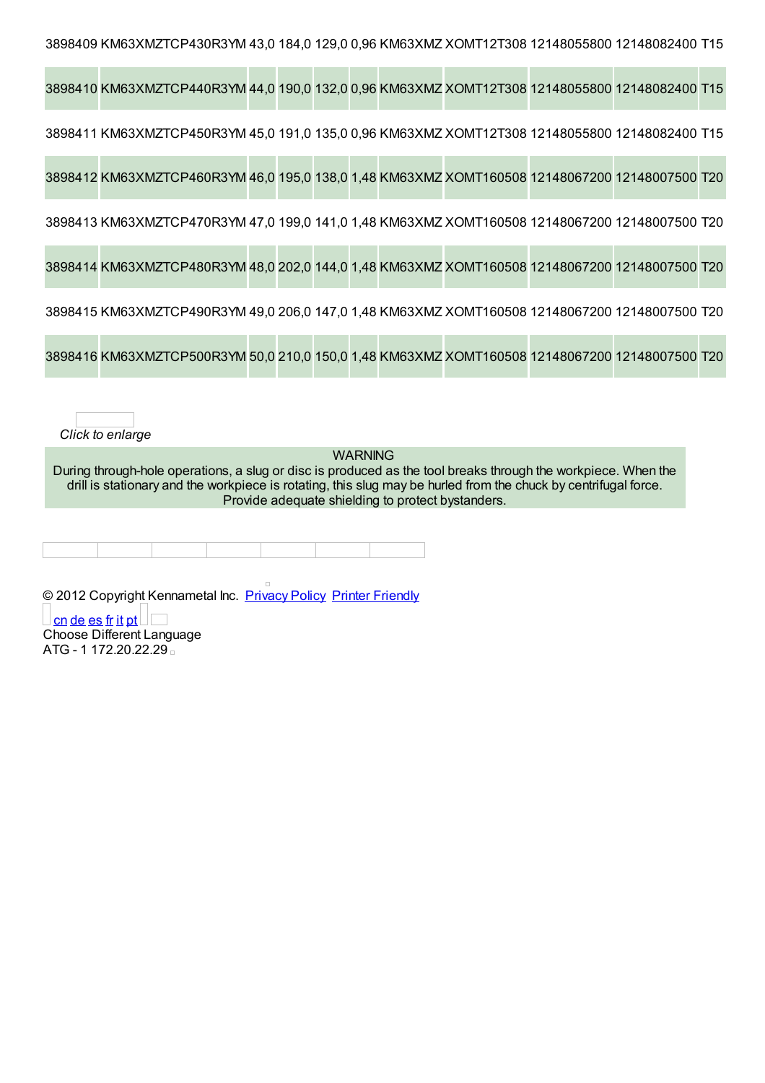|  |  |  |  | 3898410 KM63XMZTCP440R3YM 44,0 190,0 132,0 0,96 KM63XMZ XOMT12T308 12148055800 12148082400 T15 |  |  |
|--|--|--|--|------------------------------------------------------------------------------------------------|--|--|
|  |  |  |  | 3898411 KM63XMZTCP450R3YM 45,0 191,0 135,0 0,96 KM63XMZ XOMT12T308 12148055800 12148082400 T15 |  |  |
|  |  |  |  | 3898412 KM63XMZTCP460R3YM 46,0 195,0 138,0 1,48 KM63XMZ XOMT160508 12148067200 12148007500 T20 |  |  |
|  |  |  |  | 3898413 KM63XMZTCP470R3YM 47,0 199,0 141,0 1,48 KM63XMZ XOMT160508 12148067200 12148007500 T20 |  |  |
|  |  |  |  | 3898414 KM63XMZTCP480R3YM 48,0 202,0 144,0 1,48 KM63XMZ XOMT160508 12148067200 12148007500 T20 |  |  |
|  |  |  |  | 3898415 KM63XMZTCP490R3YM 49,0 206,0 147,0 1,48 KM63XMZ XOMT160508 12148067200 12148007500 T20 |  |  |
|  |  |  |  | 3898416 KM63XMZTCP500R3YM 50,0 210,0 150,0 1,48 KM63XMZ XOMT160508 12148067200 12148007500 T20 |  |  |

WARNING

During through-hole operations, a slug or disc is produced as the tool breaks through the workpiece. When the drill is stationary and the workpiece is rotating, this slug may be hurled from the chuck by centrifugal force. Provide adequate shielding to protect bystanders.

© 2012 Copyright Kennametal Inc. Privacy Policy Printer Friendly

 $\Box$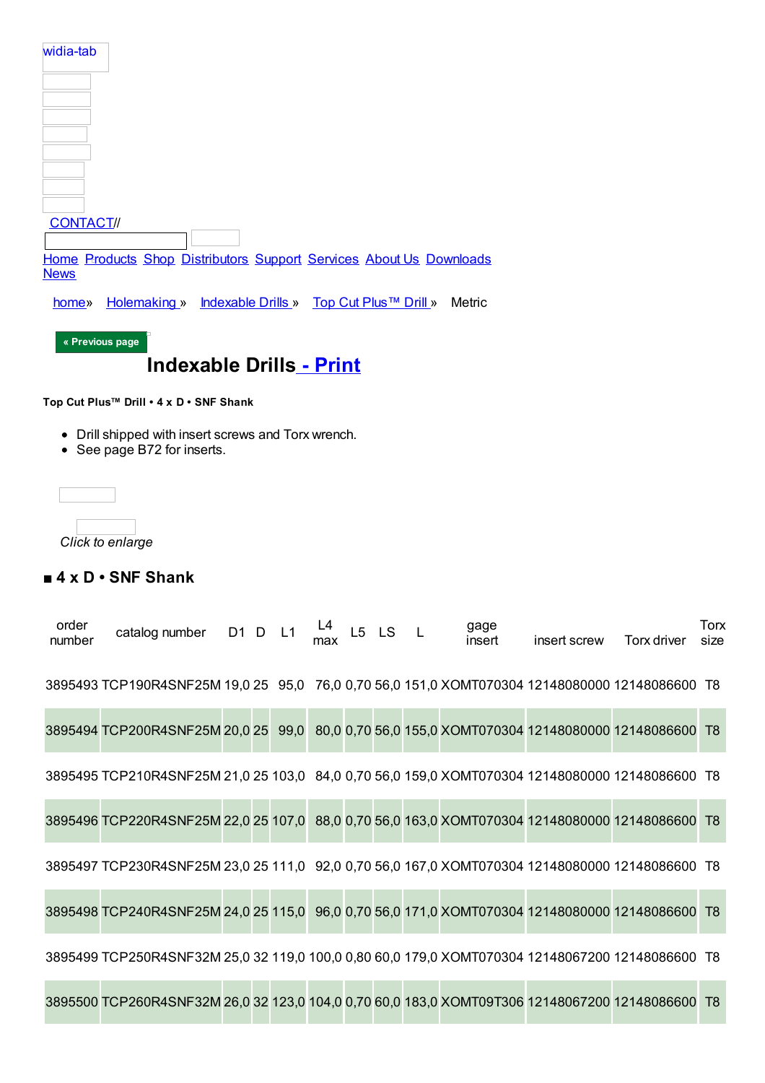| widia-tab                                                                                   |
|---------------------------------------------------------------------------------------------|
|                                                                                             |
| <b>CONTACT//</b>                                                                            |
| Home Products Shop Distributors Support Services About Us Downloads<br><b>News</b>          |
| Holemaking » Indexable Drills » Top Cut Plus™ Drill »<br>Metric<br>home»<br>« Previous page |
| <b>Indexable Drills - Print</b>                                                             |
| Top Cut Plus™ Drill • 4 x D • SNF Shank                                                     |
| Drill shipped with insert screws and Torx wrench.<br>٠<br>See page B72 for inserts.         |

# **■ 4 x D • SNF Shank**

| order<br>number | catalog number D1 D L1                                                                           |  | L4<br>max | L5 LS L | gage<br>insert | insert screw Torx driver | Torx<br>size |
|-----------------|--------------------------------------------------------------------------------------------------|--|-----------|---------|----------------|--------------------------|--------------|
|                 | 3895493 TCP190R4SNF25M 19,0 25 95,0 76,0 0,70 56,0 151,0 XOMT070304 12148080000 12148086600 T8   |  |           |         |                |                          |              |
|                 | 3895494 TCP200R4SNF25M 20,0 25 99,0 80,0 0,70 56,0 155,0 XOMT070304 12148080000 12148086600 T8   |  |           |         |                |                          |              |
|                 | 3895495 TCP210R4SNF25M 21,0 25 103,0 84,0 0,70 56,0 159,0 XOMT070304 12148080000 12148086600 T8  |  |           |         |                |                          |              |
|                 | 3895496 TCP220R4SNF25M 22,0 25 107,0 88,0 0,70 56,0 163,0 XOMT070304 12148080000 12148086600 T8  |  |           |         |                |                          |              |
|                 | 3895497 TCP230R4SNF25M 23,0 25 111,0 92,0 0,70 56,0 167,0 XOMT070304 12148080000 12148086600 T8  |  |           |         |                |                          |              |
|                 | 3895498 TCP240R4SNF25M 24,0 25 115,0 96,0 0,70 56,0 171,0 XOMT070304 12148080000 12148086600 T8  |  |           |         |                |                          |              |
|                 | 3895499 TCP250R4SNF32M 25,0 32 119,0 100,0 0,80 60,0 179,0 XOMT070304 12148067200 12148086600 T8 |  |           |         |                |                          |              |
|                 | 3895500 TCP260R4SNF32M 26,0 32 123,0 104,0 0,70 60,0 183,0 XOMT09T306 12148067200 12148086600 T8 |  |           |         |                |                          |              |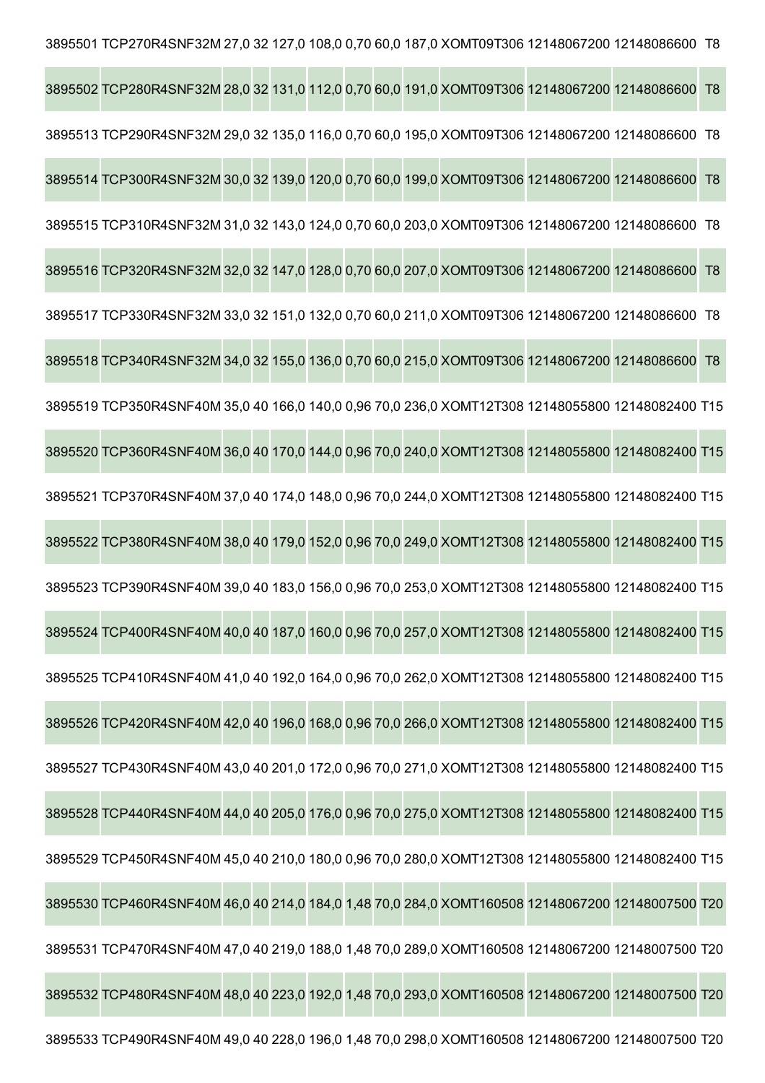| 3895501 TCP270R4SNF32M 27,0 32 127,0 108,0 0,70 60,0 187,0 XOMT09T306 12148067200 12148086600 T8  |  |  |  |  |  |  |
|---------------------------------------------------------------------------------------------------|--|--|--|--|--|--|
| 3895502 TCP280R4SNF32M 28,0 32 131,0 112,0 0,70 60,0 191,0 XOMT09T306 12148067200 12148086600 T8  |  |  |  |  |  |  |
| 3895513 TCP290R4SNF32M 29,0 32 135,0 116,0 0,70 60,0 195,0 XOMT09T306 12148067200 12148086600 T8  |  |  |  |  |  |  |
| 3895514 TCP300R4SNF32M 30,0 32 139,0 120,0 0,70 60,0 199,0 XOMT09T306 12148067200 12148086600 T8  |  |  |  |  |  |  |
| 3895515 TCP310R4SNF32M 31,0 32 143,0 124,0 0,70 60,0 203,0 XOMT09T306 12148067200 12148086600 T8  |  |  |  |  |  |  |
| 3895516 TCP320R4SNF32M 32,0 32 147,0 128,0 0,70 60,0 207,0 XOMT09T306 12148067200 12148086600 T8  |  |  |  |  |  |  |
| 3895517 TCP330R4SNF32M 33,0 32 151,0 132,0 0,70 60,0 211,0 XOMT09T306 12148067200 12148086600 T8  |  |  |  |  |  |  |
| 3895518 TCP340R4SNF32M 34,0 32 155,0 136,0 0,70 60,0 215,0 XOMT09T306 12148067200 12148086600 T8  |  |  |  |  |  |  |
| 3895519 TCP350R4SNF40M 35,0 40 166,0 140,0 0,96 70,0 236,0 XOMT12T308 12148055800 12148082400 T15 |  |  |  |  |  |  |
| 3895520 TCP360R4SNF40M 36,0 40 170,0 144,0 0,96 70,0 240,0 XOMT12T308 12148055800 12148082400 T15 |  |  |  |  |  |  |
| 3895521 TCP370R4SNF40M 37,0 40 174,0 148,0 0,96 70,0 244,0 XOMT12T308 12148055800 12148082400 T15 |  |  |  |  |  |  |
| 3895522 TCP380R4SNF40M 38,0 40 179,0 152,0 0,96 70,0 249,0 XOMT12T308 12148055800 12148082400 T15 |  |  |  |  |  |  |
| 3895523 TCP390R4SNF40M 39,0 40 183,0 156,0 0,96 70,0 253,0 XOMT12T308 12148055800 12148082400 T15 |  |  |  |  |  |  |
| 3895524 TCP400R4SNF40M 40,0 40 187,0 160,0 0,96 70,0 257,0 XOMT12T308 12148055800 12148082400 T15 |  |  |  |  |  |  |
| 3895525 TCP410R4SNF40M 41,0 40 192,0 164,0 0,96 70,0 262,0 XOMT12T308 12148055800 12148082400 T15 |  |  |  |  |  |  |
| 3895526 TCP420R4SNF40M 42,0 40 196,0 168,0 0,96 70,0 266,0 XOMT12T308 12148055800 12148082400 T15 |  |  |  |  |  |  |
| 3895527 TCP430R4SNF40M 43,0 40 201,0 172,0 0,96 70,0 271,0 XOMT12T308 12148055800 12148082400 T15 |  |  |  |  |  |  |
| 3895528 TCP440R4SNF40M 44,0 40 205,0 176,0 0,96 70,0 275,0 XOMT12T308 12148055800 12148082400 T15 |  |  |  |  |  |  |
| 3895529 TCP450R4SNF40M 45,0 40 210,0 180,0 0,96 70,0 280,0 XOMT12T308 12148055800 12148082400 T15 |  |  |  |  |  |  |
| 3895530 TCP460R4SNF40M 46,0 40 214,0 184,0 1,48 70,0 284,0 XOMT160508 12148067200 12148007500 T20 |  |  |  |  |  |  |
| 3895531 TCP470R4SNF40M 47,0 40 219,0 188,0 1,48 70,0 289,0 XOMT160508 12148067200 12148007500 T20 |  |  |  |  |  |  |
| 3895532 TCP480R4SNF40M 48,0 40 223,0 192,0 1,48 70,0 293,0 XOMT160508 12148067200 12148007500 T20 |  |  |  |  |  |  |
|                                                                                                   |  |  |  |  |  |  |

TCP490R4SNF40M 49,0 40 228,0 196,0 1,48 70,0 298,0 XOMT160508 12148067200 12148007500 T20